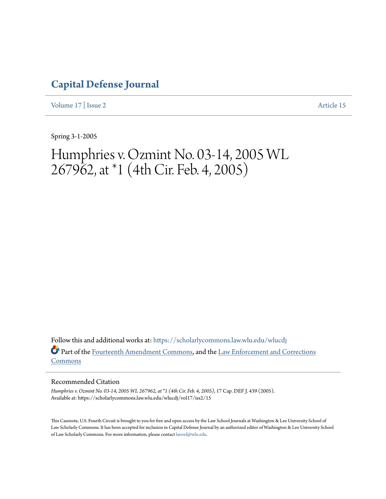## **[Capital Defense Journal](https://scholarlycommons.law.wlu.edu/wlucdj?utm_source=scholarlycommons.law.wlu.edu%2Fwlucdj%2Fvol17%2Fiss2%2F15&utm_medium=PDF&utm_campaign=PDFCoverPages)**

[Volume 17](https://scholarlycommons.law.wlu.edu/wlucdj/vol17?utm_source=scholarlycommons.law.wlu.edu%2Fwlucdj%2Fvol17%2Fiss2%2F15&utm_medium=PDF&utm_campaign=PDFCoverPages) | [Issue 2](https://scholarlycommons.law.wlu.edu/wlucdj/vol17/iss2?utm_source=scholarlycommons.law.wlu.edu%2Fwlucdj%2Fvol17%2Fiss2%2F15&utm_medium=PDF&utm_campaign=PDFCoverPages) [Article 15](https://scholarlycommons.law.wlu.edu/wlucdj/vol17/iss2/15?utm_source=scholarlycommons.law.wlu.edu%2Fwlucdj%2Fvol17%2Fiss2%2F15&utm_medium=PDF&utm_campaign=PDFCoverPages)

Spring 3-1-2005

# Humphries v. Ozmint No. 03-14, 2005 WL 267962, at \*1 (4th Cir. Feb. 4, 2005)

Follow this and additional works at: [https://scholarlycommons.law.wlu.edu/wlucdj](https://scholarlycommons.law.wlu.edu/wlucdj?utm_source=scholarlycommons.law.wlu.edu%2Fwlucdj%2Fvol17%2Fiss2%2F15&utm_medium=PDF&utm_campaign=PDFCoverPages) Part of the [Fourteenth Amendment Commons,](http://network.bepress.com/hgg/discipline/1116?utm_source=scholarlycommons.law.wlu.edu%2Fwlucdj%2Fvol17%2Fiss2%2F15&utm_medium=PDF&utm_campaign=PDFCoverPages) and the [Law Enforcement and Corrections](http://network.bepress.com/hgg/discipline/854?utm_source=scholarlycommons.law.wlu.edu%2Fwlucdj%2Fvol17%2Fiss2%2F15&utm_medium=PDF&utm_campaign=PDFCoverPages) [Commons](http://network.bepress.com/hgg/discipline/854?utm_source=scholarlycommons.law.wlu.edu%2Fwlucdj%2Fvol17%2Fiss2%2F15&utm_medium=PDF&utm_campaign=PDFCoverPages)

#### Recommended Citation

*Humphries v. Ozmint No. 03-14, 2005 WL 267962, at \*1 (4th Cir. Feb. 4, 2005)*, 17 Cap. DEF J. 439 (2005). Available at: https://scholarlycommons.law.wlu.edu/wlucdj/vol17/iss2/15

This Casenote, U.S. Fourth Circuit is brought to you for free and open access by the Law School Journals at Washington & Lee University School of Law Scholarly Commons. It has been accepted for inclusion in Capital Defense Journal by an authorized editor of Washington & Lee University School of Law Scholarly Commons. For more information, please contact [lawref@wlu.edu.](mailto:lawref@wlu.edu)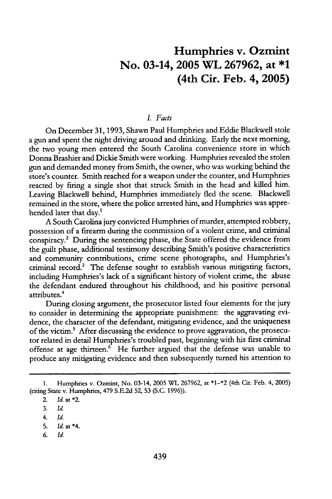### **Humphries v. Ozmint No. 03-14, 2005 WL 267962, at \*1 (4th Cir. Feb. 4, 2005)**

#### *I. Facts*

On December 31, 1993, Shawn Paul Humphries and Eddie Blackwell stole a gun and spent the night driving around and drinking. Early the next morning, the two young men entered the South Carolina convenience store in which Donna Brashier and Dickie Smith were working. Humphries revealed the stolen gun and demanded money from Smith, the owner, who was working behind the store's counter. Smith reached for a weapon under the counter, and Humphries reacted by firing a single shot that struck Smith in the head and killed him. Leaving Blackwell behind, Humphries immediately fled the scene. Blackwell remained in the store, where the police arrested him, and Humphries was apprehended later that day.<sup>1</sup>

A South Carolina jury convicted Humphries of murder, attempted robbery, possession of a firearm during the commission of a violent crime, and criminal conspiracy. During the sentencing phase, the State offered the evidence from the guilt phase, additional testimony describing Smith's positive characteristics and community contributions, crime scene photographs, and Humphries's criminal record.3 The defense sought to establish various mitigating factors, including Humphries's lack of a significant history of violent crime, the abuse the defendant endured throughout his childhood, and his positive personal attributes.4

During closing argument, the prosecutor listed four elements for the jury to consider in determining the appropriate punishment: the aggravating evidence, the character of the defendant, mitigating evidence, and the uniqueness of the victim.5 After discussing the evidence to prove aggravation, the prosecutor related in detail Humphries's troubled past, beginning with his first criminal offense at age thirteen.<sup>6</sup> He further argued that the defense was unable to produce any mitigating evidence and then subsequently turned his attention to

Humphries v. Ozmint, No. 03-14, 2005 WL 267962, at \*1-\*2 (4th Cir. Feb. 4, 2005) (citing State v. Humphries, 479 S.E.2d *52,* 53 (S.C. 1996)).

<sup>2.</sup> *Id.* at \*2.

<sup>3.</sup> *Id.*

*<sup>4.</sup> Id.*

<sup>5.</sup> *Id.* at \*4.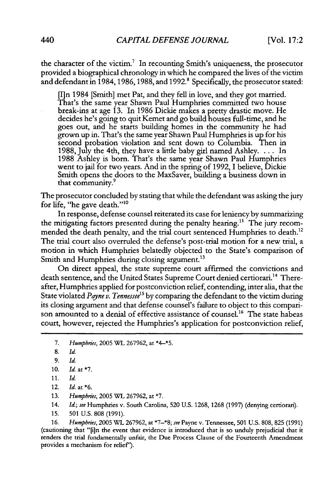the character of the victim.<sup>7</sup> In recounting Smith's uniqueness, the prosecutor provided a biographical chronology in which he compared the lives of the victim and defendant in 1984, 1986, 1988, and 1992. $8$  Specifically, the prosecutor stated:

[I]n 1984 [Smith] met Pat, and they fell in love, and theygot married. That's the same year Shawn Paul Humphries committed two house break-ins at age 13. In 1986 Dickie makes a pretty drastic move. He decides he's going to quit Kemet and go build houses full-time, and he goes out, and he starts building homes in the community he had grown up in. That's the same year Shawn Paul Humphries is up for his second probation violation and sent down to Columbia. Then in 1988, July the 4th, they have a little baby girl named Ashley. ... In 1988 Ashley is bom. That's the same year Shawn Paul Humphries went to jail for two years. And in the spring of 1992, **1** believe, Dickie Smith opens the doors to the MaxSaver, building a business down in that community.<sup>9</sup>

The prosecutor concluded by stating that while the defendant was asking the jury for life, "he gave death."<sup>10</sup>

In response, defense counsel reiterated its case for leniency by summarizing the mitigating factors presented during the penalty hearing.<sup>11</sup> The jury recommended the death penalty, and the trial court sentenced Humphries to death.<sup>12</sup> The trial court also overruled the defense's post-trial motion for a new trial, a motion in which Humphries belatedly objected to the State's comparison of Smith and Humphries during closing argument.<sup>13</sup>

On direct appeal, the state supreme court affirmed the convictions and death sentence, and the United States Supreme Court denied certiorari.<sup>14</sup> Thereafter, Humphries applied for postconviction relief, contending, inter alia, that the State violated *Payne v. Tennessee5* by comparing the defendant to the victim during its closing argument and that defense counsel's failure to object to this comparison amounted to a denial of effective assistance of counsel.<sup>16</sup> The state habeas court, however, rejected the Humphries's application for postconviction relief,

15. **501** U.S. 808 (1991).

16. *Humpbries,* 2005 WL 267962, at \*7-\*8; *see* Payne v. Tennessee, 501 U.S. 808, 825 (1991) (cautioning that "[i]n the event that evidence is introduced that is so unduly prejudicial that it renders the trial fundamentally unfair, the Due Process Clause of the Fourteenth Amendment provides a mechanism for relief').

*<sup>7.</sup> Humpbries,* 2005 WL 267962, at \*4-\*5.

**<sup>8.</sup>** *Id.*

<sup>9.</sup> *Id.*

**<sup>10.</sup>** *Id.* at **\*7.**

<sup>11.</sup> *Id.*

<sup>12.</sup> *Id.* at **\*6.**

<sup>13.</sup> *Humphries,* 2005 WL 267962, at **\*7.**

<sup>14.</sup> *Id.; see* Humphries v. South Carolina, 520 U.S. 1268, 1268 (1997) (denying certiorari).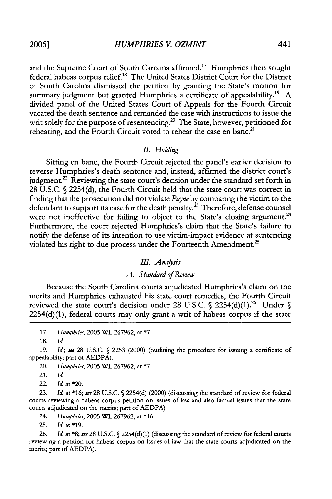and the Supreme Court of South Carolina affirmed.<sup>17</sup> Humphries then sought federal habeas corpus relief.<sup>18</sup> The United States District Court for the District of South Carolina dismissed the petition by granting the State's motion for summary judgment but granted Humphries a certificate of appealability.<sup>19</sup> A divided panel of the United States Court of Appeals for the Fourth Circuit vacated the death sentence and remanded the case with instructions to issue the writ solely for the purpose of resentencing.<sup>20</sup> The State, however, petitioned for rehearing, and the Fourth Circuit voted to rehear the case en banc.<sup>2</sup>

#### *II. Holding*

Sitting en banc, the Fourth Circuit rejected the panel's earlier decision to reverse Humphries's death sentence and, instead, affirmed the district court's judgment.<sup>22</sup> Reviewing the state court's decision under the standard set forth in 28 U.S.C. **§** 2254(d), the Fourth Circuit held that the state court was correct in finding that the prosecution did not violate *Payne* by comparing the victim to the defendant to support its case for the death penalty.<sup>23</sup> Therefore, defense counsel were not ineffective for failing to object to the State's closing argument.<sup>24</sup> Furthermore, the court rejected Humphries's claim that the State's failure to notify the defense of its intention to use victim-impact evidence at sentencing violated his right to due process under the Fourteenth Amendment.<sup>25</sup>

#### *III. Anaysis*

#### *A. Standard of Review*

Because the South Carolina courts adjudicated Humphries's claim on the merits and Humphries exhausted his state court remedies, the Fourth Circuit reviewed the state court's decision under 28 U.S.C. § 2254(d)(1).<sup>26</sup> Under § 2254(d)(1), federal courts may only grant a writ of habeas corpus if the state

**18. Id.**

19. *Id.;* see 28 U.S.C. **§** 2253 (2000) (outlining the procedure for issuing a certificate of appealability; part of AEDPA).

20. *Humphries,* 2005 WL 267962, at **\*7.**

21. Id.

22. *Id.* at \*20.

23. *Id.* at \*16; *see* 28 U.S.C. § 2254(d) (2000) (discussing the standard of review for federal courts reviewing a habeas corpus petition on issues of law and also factual issues that the state courts adjudicated on the merits; part of AEDPA).

24. *Humphries,* 2005 WL 267962, at \*16.

25. *Id.* at **\*19.**

26. *Id.* at \*8; *see* 28 U.S.C. **§** 2254(d)(1) (discussing the standard of review for federal courts reviewing a petition for habeas corpus on issues of law that the state courts adjudicated on the merits; part of AEDPA).

<sup>17.</sup> *Iumphries,* 2005 WL 267962, at **\*7.**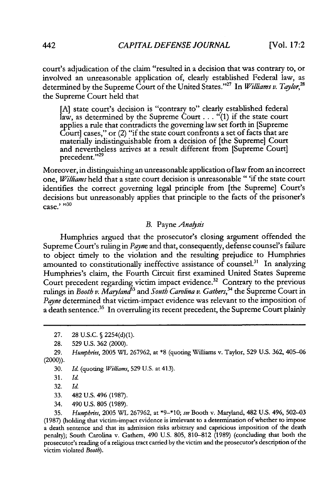court's adjudication of the claim "resulted in a decision that was contrary to, or involved an unreasonable application of, clearly established Federal law, as determined by the Supreme Court of the United States."<sup>27</sup> In *Williams v. Taylor*,<sup>28</sup> the Supreme Court held that

[A] state court's decision is "contrary to" clearly established federal law, as determined by the Supreme Court. **.** . "(1) if the state court applies a rule that contradicts the governing law set forth in [Supreme Court] cases," or (2) "if the state court confronts a set of facts that are materially indistinguishable from a decision of [the Supreme] Court and nevertheless arrives at a result different from [Supreme Court] precedent."<sup>29</sup>

Moreover, in distinguishing an unreasonable application of law from an incorrect one, *Williams* held that a state court decision is unreasonable " 'if the state court identifies the correct governing legal principle from [the Supreme] Court's decisions but unreasonably applies that principle to the facts of the prisoner's case.' **,"30**

#### *B.* Payne *Analysis*

Humphries argued that the prosecutor's closing argument offended the Supreme Court's ruling in *Payne* and that, consequently, defense counsel's failure to object timely to the violation and the resulting prejudice to Humphries amounted to constitutionally ineffective assistance of counsel.<sup>31</sup> In analyzing Humphries's claim, the Fourth Circuit first examined United States Supreme Court precedent regarding victim impact evidence.<sup>32</sup> Contrary to the previous rulings in *Booth v. Maryland*<sup>83</sup> and *South Carolina v. Gathers*,<sup>34</sup> the Supreme Court in *Payne* determined that victim-impact evidence was relevant to the imposition of a death sentence.<sup>35</sup> In overruling its recent precedent, the Supreme Court plainly

34. 490 U.S. **805** (1989).

35. *Humphries,* 2005 WL 267962, at **\*9-\*10;** *see* Booth v. Maryland, 482 U.S. 496, 502-03 (1987) (holding that victim-impact evidence is irrelevant to a determination of whether to impose a death sentence and that its admission risks arbitrary and capricious imposition of the death penalty); South Carolina v. Gathers, 490 U.S. 805, 810-812 (1989) (concluding that both the prosecutor's reading of a religious tract carried by the victim and the prosecutor's description of the victim violated *Booth).*

<sup>27. 28</sup> U.S.C. **§** 2254(d)(1).

<sup>28. 529</sup> U.S. 362 (2000).

<sup>29.</sup> *Humpbries,* 2005 WL 267962, at \*8 (quoting Williams v. Taylor, 529 U.S. 362, 405-06  $(2000)$ ).

<sup>30.</sup> *Id.* (quoting *Wiliams,* 529 U.S. at 413).

<sup>31.</sup> Id.

<sup>32.</sup> Id.

<sup>33. 482</sup> U.S. 496 (1987).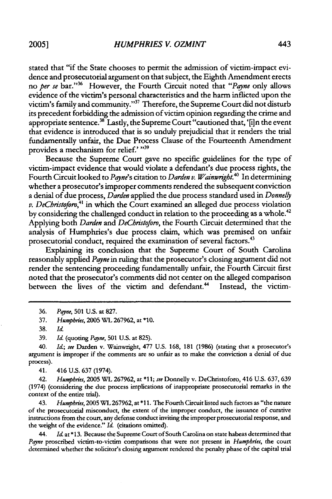stated that "if the State chooses to permit the admission of victim-impact evidence and prosecutorial argument on that subject, the Eighth Amendment erects no *per se* bar."3' 6 However, the Fourth Circuit noted that *"Payne* only allows evidence of the victim's personal characteristics and the harm inflicted upon the victim's family and community."<sup>37</sup> Therefore, the Supreme Court did not disturb its precedent forbidding the admission of victim opinion regarding the crime and appropriate sentence.<sup>38</sup> Lastly, the Supreme Court "cautioned that, '[i]n the event that evidence is introduced that is so unduly prejudicial that it renders the trial fundamentally unfair, the Due Process Clause of the Fourteenth Amendment provides a mechanism for relief.' "39

Because the Supreme Court gave no specific guidelines for the type of victim-impact evidence that would violate a defendant's due process rights, the Fourth Circuit looked to *Payne's* citation to *Darden v. Wainwright*.<sup>40</sup> In determining whether a prosecutor's improper comments rendered the subsequent conviction a denial of due process, *Darden* applied the due process standard used in *Donnely*  $\nu$ . DeChristoforo,<sup>41</sup> in which the Court examined an alleged due process violation by considering the challenged conduct in relation to the proceeding as a whole.<sup>4</sup> Applying both *Darden and DeChristoforo,* the Fourth Circuit determined that the analysis of Humphries's due process claim, which was premised on unfair prosecutorial conduct, required the examination of several factors.<sup>43</sup>

Explaining its conclusion that the Supreme Court of South Carolina reasonably applied *Payne* in ruling that the prosecutor's closing argument did not render the sentencing proceeding fundamentally unfair, the Fourth Circuit first noted that the prosecutor's comments did not center on the alleged comparison between the lives of the victim and defendant.<sup>44</sup> Instead, the victim-

40. *Id.; see* Darden v. Wainwright, 477 U.S. 168, 181 (1986) (stating that a prosecutor's argument is improper if the comments are so unfair as to make the conviction a denial of due process).

41. 416 U.S. 637 (1974).

42. *Hupbries,* 2005 WL 267962, at \*11; *see* Donnelly v. DeChristoforo, 416 U.S. 637, 639 (1974) (considering the due process implications of inappropriate prosecutorial remarks in the context of the entire trial).

43. *Humphries,* 2005 WL 267962, at \*11. The Fourth Circuit listed such factors as "the nature of the prosecutorial misconduct, the extent of the improper conduct, the issuance of curative instructions from the court, any defense conduct inviting the improper prosecutorial response, and the weight of the evidence." *Id.* (citations omitted).

Id. at \*13. Because the Supreme Court of South Carolina on state habeas determined that *Payne* proscribed victim-to-victim comparisons that were not present in *Humphries,* the court determined whether the solicitor's closing argument rendered the penalty phase of the capital trial

<sup>36.</sup> *Payne,* 501 U.S. at 827.

**<sup>37.</sup>** *Humpbries,* 2005 WL **267962,** at \*10.

<sup>38.</sup> *Id.*

<sup>39.</sup> *Id.* (quoting *Payne,* 501 U.S. at 825).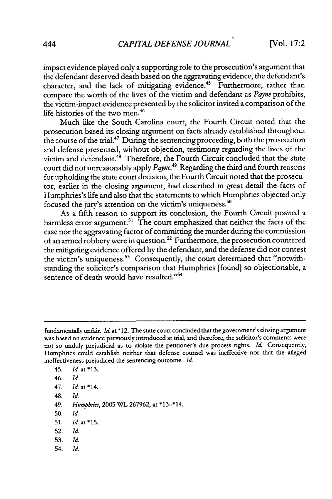impact evidence played only a supporting role to the prosecution's argument that the defendant deserved death based on the aggravating evidence, the defendant's character, and the lack of mitigating evidence.<sup>45</sup> Furthermore, rather than compare the worth of the lives of the victim and defendant as *Payne* prohibits, the victim-impact evidence presented by the solicitor invited a comparison of the life histories of the two men.<sup>46</sup>

Much like the South Carolina court, the Fourth Circuit noted that the prosecution based its closing argument on facts already established throughout the course of the trial.<sup>47</sup> During the sentencing proceeding, both the prosecution and defense presented, without objection, testimony regarding the lives of the victim and defendant.<sup>48</sup> Therefore, the Fourth Circuit concluded that the state court did not unreasonably apply *Payne."9* Regarding the third and fourth reasons for upholding the state court decision, the Fourth Circuit noted that the prosecutor, earlier in the closing argument, had described in great detail the facts of Humphries's life and also that the statements to which Humphries objected only focused the jury's attention on the victim's uniqueness.

As a fifth reason to support its conclusion, the Fourth Circuit posited a harmless error argument.<sup>51</sup> The court emphasized that neither the facts of the case nor the aggravating factor of committing the murder during the commission of an armed robbery were in question.<sup>52</sup> Furthermore, the prosecution countered the mitigating evidence offered by the defendant, and the defense did not contest the victim's uniqueness.<sup>53</sup> Consequently, the court determined that "notwithstanding the solicitor's comparison that Humphries [found] so objectionable, a sentence of death would have resulted."<sup>54</sup>

- 45. *Id.* at \*13.
- 46. *Id.*
- 47. *Id.* at \*14.
- 48. *Id.*
- 49. *Humpbries,* 2005 WL 267962, at \*13-\*14.
- 50. *Id.*
- **51.** *Id.* at **\*15.**
- 52. Id.
- 53. Id.
- 54. Id.

fundamentally unfair. *Id.* at \*12. The state court concluded that the government's closing argument was based on evidence previously introduced at trial, and therefore, the solicitor's comments were not so unduly prejudicial as to violate the petitioner's due process rights. *Id.* Consequendy, Humphries could establish neither that defense counsel was ineffective nor that the alleged ineffectiveness prejudiced the sentencing outcome. *Id.*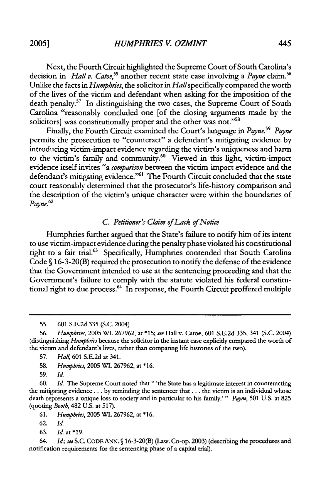Next, the Fourth Circuit highlighted the Supreme Court of South Carolina's decision in *Hall v. Catoe*,<sup>55</sup> another recent state case involving a *Payne* claim.<sup>56</sup> Unlike the facts in *Humpbies,* the solicitor in Hallspecifically compared the worth of the lives of the victim and defendant when asking for the imposition of the death penalty.57 In distinguishing the two cases, the Supreme Court of South Carolina "reasonably concluded one [of the closing arguments made by the solicitors] was constitutionally proper and the other was not."<sup>58</sup>

Finally, the Fourth Circuit examined the Court's language in *Payne.59 Payne* permits the prosecution to "counteract" a defendant's mitigating evidence by introducing victim-impact evidence regarding the victim's uniqueness and harm to the victim's family and community.<sup>60</sup> Viewed in this light, victim-impac evidence itself invites "a *comparison* between the victim-impact evidence and the defendant's mitigating evidence."<sup>61</sup> The Fourth Circuit concluded that the state court reasonably determined that the prosecutor's life-history comparison and the description of the victim's unique character were within the boundaries of *Payne. 62*

#### *C Petitioner's Cim of Lack of Notice*

Humphries further argued that the State's failure to notify him of its intent to use victim-impact evidence during the penalty phase violated his constitutional right to a fair trial.<sup>63</sup> Specifically, Humphries contended that South Carolina Code **§** 16-3-20(B) required the prosecution to notify the defense of the evidence that the Government intended to use at the sentencing proceeding and that the Government's failure to comply with the statute violated his federal constitutional right to due process.<sup>64</sup> In response, the Fourth Circuit proffered multiple

<sup>55. 601</sup> S.E.2d 335 (S.C. 2004).

<sup>56.</sup> *Humpbries,* **2005** WL 267962, at \*15; *see* Hall v. Catoe, **601** S.E.2d 335, 341 (S.C. 2004) (distinguishing *Humpbries* because the solicitor in the instant case explicitly compared the worth of the victim and defendant's lives, rather than comparing life histories of the two).

<sup>57.</sup> *Hall,* 601 S.E.2d at 341.

<sup>58.</sup> Humphries, 2005 WL 267962, at \*16.

<sup>59.</sup> *Id.*

<sup>60.</sup> *Id.* The Supreme Court noted that" 'the State has a legitimate interest in counteracting the mitigating evidence **...** by reminding the sentencer that.., the victim is an individual whose death represents a unique loss to society and in particular to his family.' " *Payne,* 501 U.S. at 825 (quoting *Booth,* 482 U.S. at 517).

<sup>61.</sup> *Humphries*, 2005 WL 267962, at \*16.

<sup>62.</sup> *Id.*

<sup>63.</sup> *Id.* at \*19.

<sup>64.</sup> *Id.; see* S.C. CODE ANN. **§** 16-3-20(B) (Law. Co-op. 2003) (describing the procedures and notification requirements for the sentencing phase of a capital trial).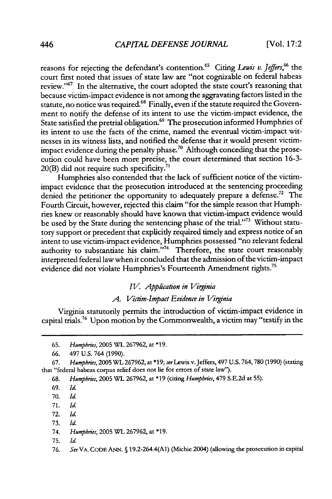reasons for rejecting the defendant's contention.<sup>65</sup> Citing *Lewis v. Jeffers*,<sup>66</sup> the court first noted that issues of state law are "not cognizable on federal habeas review."<sup>67</sup> In the alternative, the court adopted the state court's reasoning that because victim-impact evidence is not among the aggravating factors listed in the statute, no notice was required.<sup>68</sup> Finally, even if the statute required the Government to notify the defense of its intent to use the victim-impact evidence, the State satisfied the pretrial obligation.<sup>69</sup> The prosecution informed Humphries of its intent to use the facts of the crime, named the eventual victim-impact witnesses in its witness lists, and notified the defense that it would present victimimpact evidence during the penalty phase.<sup>70</sup> Although conceding that the prosecution could have been more precise, the court determined that section 16-3-  $20(B)$  did not require such specificity.<sup>71</sup>

Humphries also contended that the lack of sufficient notice of the victimimpact evidence that the prosecution introduced at the sentencing proceeding denied the petitioner the opportunity to adequately prepare a defense.<sup>72</sup> The Fourth Circuit, however, rejected this claim "for the simple reason that Humphries knew or reasonably should have known that victim-impact evidence would be used by the State during the sentencing phase of the trial."73 Without statutory support or precedent that explicitly required timely and express notice of an intent to use victim-impact evidence, Humphries possessed "no relevant federal authority to substantiate his claim."<sup>74</sup> Therefore, the state court reasonably interpreted federal law when it concluded that the admission of the victim-impact evidence did not violate Humphries's Fourteenth Amendment rights.<sup>7</sup>

#### *IV. Application in Vi'ginia*

#### *A. Victim-Impact Etidence in Viginia*

Virginia statutorily permits the introduction of victim-impact evidence in capital trials.76 Upon motion by the Commonwealth, a victim may "testify in the

- 71. *Id.*
- 72. *Id.*
- 73. *Id.*

**<sup>65.</sup>** *Humphries,* 2005 **WL** 267962, at **\*19.**

**<sup>66.</sup>** 497 U.S. 764 (1990).

**<sup>67.</sup>** *Humphnes,* 2005 WL 267962, at **\*19;** *see* Lewis v.Jeffers, 497 U.S. 764,780 (1990) (stating that "federal habeas corpus relief does not lie for errors of state law").

<sup>68.</sup> *Humphfies,* **2005** WL 267962, at **\*19** (citing *Humphries,* 479 S.E.2d at 55).

**<sup>69.</sup>** *Id.*

<sup>70.</sup> *Id.*

<sup>74.</sup> *Humphies,* 2005 **WL** 267962, at **\*19.**

<sup>76.</sup> *See* VA. CODE ANN. § 19.2-264.4(AI) (Michie 2004) (allowing the prosecution in capital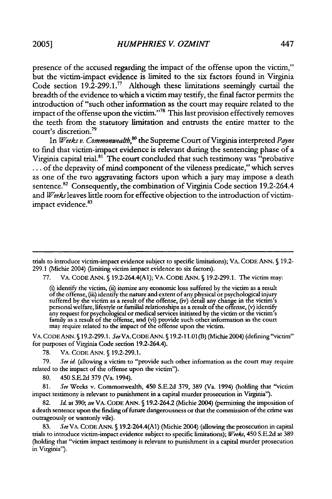presence of the accused regarding the impact of the offense upon the victim," but the victim-impact evidence is limited to the six factors found in Virginia Code section  $19.2$ -299.1.<sup>77</sup> Although these limitations seemingly curtail the breadth of the evidence to which a victim may testify, the final factor permits the introduction of "such other information as the court may require related to the impact of the offense upon the victim."78 This last provision effectively removes the teeth from the statutory limitation and entrusts the entire matter to the court's discretion.79

In *Weeks v. Commonwealth*,<sup>80</sup> the Supreme Court of Virginia interpreted *Payne* to find that victim-impact evidence is relevant during the sentencing phase of a Virginia capital trial.<sup>81</sup> The court concluded that such testimony was "probative ... of the depravity of mind component of the vileness predicate," which serves as one of the two aggravating factors upon which a jury may impose a death sentence.<sup>82</sup> Consequently, the combination of Virginia Code section 19.2-264.4 and *Weeks* leaves little room for effective objection to the introduction of victimimpact evidence.<sup>83</sup>

**77.** VA. CODE ANN. § 19.2-264.4(Al); VA. CODE ANN. *§* 19.2-299.1. The victim may:

(i) identify the victim, (ii) itemize any economic loss suffered **by** the victim as a result of the offense, (iii) identify the nature and extent of any physical or psychological injury suffered by the victim as a result of the offense, (iv) detail any change in **the** victim's personal welfare, lifestyle **or** familial relationships as a result of the offense, (v) identify .<br>any request for psychological or medical services initiated by the victim or the victim's<br>family as a result of the offense, and (vi) provide such other information as the court may require related to the impact of the offense upon the victim.

VA. CODEANN. § 19.2-299.1. *See* VA. CODE ANN. § 19.2-11.01 (B) (Michie 2004) (defining "victim" for purposes of Virginia Code section 19.2-264.4).

**78.** VA. CODE ANN. § 19.2-299.1.

79. See id. (allowing a victim to "provide such other information as the court may require related to the impact of the offense upon the victim").

80. 450 S.E.2d 379 (Va. 1994).

81. *See* Weeks v. Commonwealth, 450 S.E.2d 379, 389 (Va. 1994) (holding that "victim impact testimony is relevant to punishment in a capital murder prosecution in Virginia').

82. *Id.* at 390; see VA. CODE ANN. *§* 19.2-264.2 (Michie 2004) (permitting the imposition of a death sentence upon the finding of future dangerousness or that the commission of the crime was outrageously or wantonly vile).

83. *See* VA. CODE ANN. § 19.2-264.4(A1) (Michie 2004) (allowing the prosecution in capital trials to introduce victim-impact evidence subject to specific limitations); *Wleeks,* 450 S.E.2d at 389 (holding that "victim impact testimony is relevant to punishment in a capital murder prosecution in Virginia'').

trials to introduce victim-impact evidence subject to specific limitations); VA. CODE ANN. **§** 19.2- 299.1 (Michie 2004) (limiting victim impact evidence to six factors).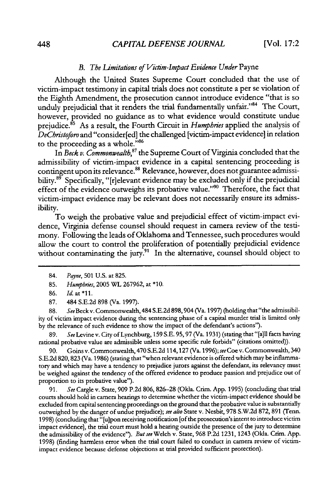#### *B. The Limitations of Victim-Impact Eidence Under* Payne

Although the United States Supreme Court concluded that the use of victim-impact testimony in capital trials does not constitute a per se violation of the Eighth Amendment, the prosecution cannot introduce evidence "that is so unduly prejudicial that it renders the trial fundamentally unfair."<sup>84</sup> The Court, however, provided no guidance as to what evidence would constitute undue prejudice.<sup>85</sup> As a result, the Fourth Circuit in *Humphries* applied the analysis of *DeChristoforo* and "consider[ed] the challenged [victim-impact evidence] in relation to the proceeding as a whole.<sup>5786</sup>

In *Beck v. Commonwealth,s7* the Supreme Court of Virginia concluded that the admissibility of victim-impact evidence in a capital sentencing proceeding is contingent upon its relevance.<sup>88</sup> Relevance, however, does not guarantee admissibility.<sup>89</sup> Specifically, "[r]elevant evidence may be excluded only if the prejudicial effect of the evidence outweighs its probative value."<sup>90</sup> Therefore, the fact that victim-impact evidence may be relevant does not necessarily ensure its admissibility.

To weigh the probative value and prejudicial effect of victim-impact evidence, Virginia defense counsel should request in camera review of the testimony. Following the leads of Oklahoma and Tennessee, such procedures would allow the court to control the proliferation of potentially prejudicial evidence without contaminating the jury.<sup>91</sup> In the alternative, counsel should object to

88. *See* Beck v. Commonwealth, 484 S.E.2d 898,904 (Va. 1997) (holding that "the admissibility of victim impact evidence during the sentencing phase of a capital murder trial is limited only by the relevance of such evidence to show the impact of the defendant's actions").

89. *See* Levine v. City of Lynchburg, 159 S.E. 95,97 (Va. 1931) (stating that "[all facts having rational probative value are admissible unless some specific rule forbids" (citations omitted)).

90. Goins v. Commonwealth, 470 S.E.2d 114,127 (Va. 1996); *seeCoe* v. Commonwealth, 340 S.E.2d 820,823 (Va. 1986) (stating that "when relevant evidence is offered which may be inflammatory and which may have a tendency to prejudice jurors against the defendant, its relevancy must be weighed against the tendency of the offered evidence to produce passion and prejudice out of proportion to its probative value').

**91.** *See* Cargle v. State, **909** P.2d 806, 826-28 (Okla. Crim. App. **1995)** (concluding that trial courts should hold in camera hearings to determine whether the victim-impact evidence should be excluded from capital sentencing proceedings on the ground that the probative value is substantially outweighed by the danger of undue prejudice); *see* also State v. Nesbit, **978** S.W.2d 872, **891** (Tenn. **1998)** (concluding that "[u]pon receiving notification [of the prosecution's intent to introduce victim impact evidence], the trial court must hold a hearing outside the presence of the jury to determine the admissibility of the evidence'). *But see* Welch v. State, **968** P.2d 1231, 1243 (Okla. Crim. App. **1998)** (finding harmless error when the trial court failed to conduct in camera review of victimimpact evidence because defense objections at trial provided sufficient protection).

<sup>84.</sup> *Payne,* **501** U.S. at 825.

<sup>85.</sup> *Humpbres,* **2005** WL 267962, at "10.

<sup>86.</sup> *Id.* at \*11.

<sup>87. 484</sup> S.E.2d 898 (Va. 1997).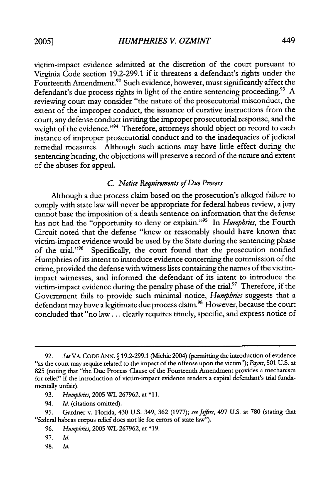victim-impact evidence admitted at the discretion of the court pursuant to Virginia Code section 19.2-299.1 if it threatens a defendant's rights under the Fourteenth Amendment.<sup>92</sup> Such evidence, however, must significantly affect the defendant's due process rights in light of the entire sentencing proceeding.<sup>93</sup> A reviewing court may consider "the nature of the prosecutorial misconduct, the extent of the improper conduct, the issuance of curative instructions from the court, any defense conduct inviting the improper prosecutorial response, and the weight of the evidence."<sup>94</sup> Therefore, attorneys should object on record to each instance of improper prosecutorial conduct and to the inadequacies of judicial remedial measures. Although such actions may have little effect during the sentencing hearing, the objections will preserve a record of the nature and extent of the abuses for appeal.

#### *C. Notice Requirements of Due Process*

Although a due process claim based on the prosecution's alleged failure to comply with state law will never be appropriate for federal habeas review, a jury cannot base the imposition of a death sentence on information that the defense has not had the "opportunity to deny or explain."9" In *Humphries,* the Fourth Circuit noted that the defense "knew or reasonably should have known that victim-impact evidence would be used by the State during the sentencing phase of the trial."96 Specifically, the court found that the prosecution notified Humphries of its intent to introduce evidence concerning the commission of the crime, provided the defense with witness lists containing the names of the victimimpact witnesses, and informed the defendant of its intent to introduce the victim-impact evidence during the penalty phase of the trial."7 Therefore, if the Government fails to provide such minimal notice, *Humphries* suggests that a defendant may have a legitimate due process claim.<sup>98</sup> However, because the court concluded that "no law... clearly requires timely, specific, and express notice of

**<sup>92.</sup>** *See* VA. CODE ANN. **§** 19.2-299.1 (Michie 2004) (permitting the introduction of evidence "as the court may require related to the impact of the offense upon the victim"); *Payne,* 501 U.S. at 825 (noting that "the Due Process Clause of the Fourteenth Amendment provides a mechanism for relief" if the introduction of victim-impact evidence renders a capital defendant's trial fundamentally unfair).

**<sup>93.</sup>** *Hmbhries,* 2005 WL 267962, at \*11.

<sup>94.</sup> *Id.* (citations omitted).

<sup>95.</sup> Gardner v. Florida, 430 U.S. 349, 362 (1977); *see Jeffers,* 497 U.S. at 780 (stating that "federal habeas corpus relief does not lie for errors of state law').

<sup>96.</sup> *Humpries,* 2005 WL 267962, at **\*19.**

<sup>97.</sup> *Id.*